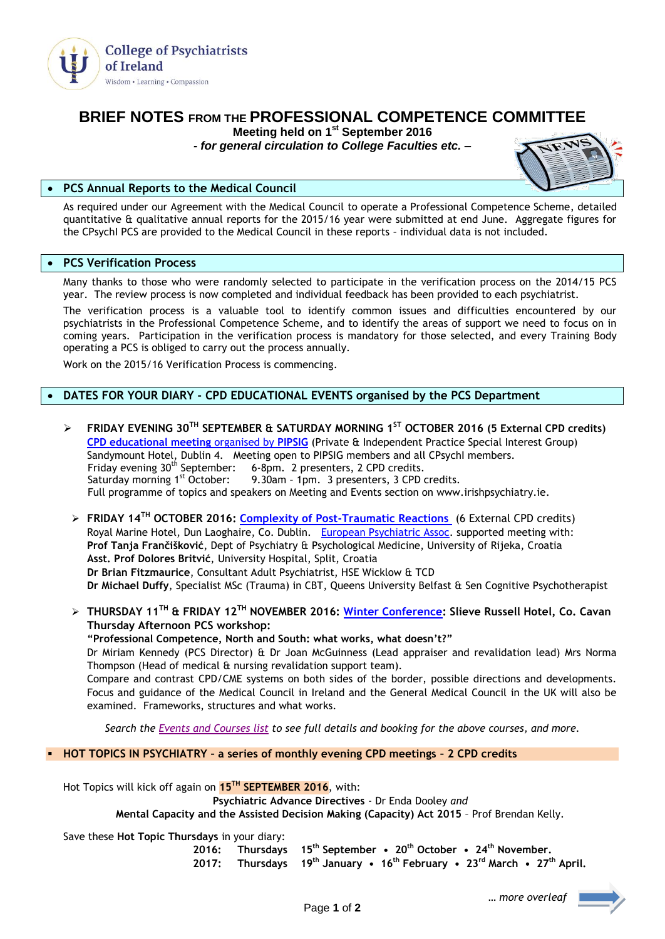

# **BRIEF NOTES FROM THE PROFESSIONAL COMPETENCE COMMITTEE**

**Meeting held on 1 st September 2016**

*- for general circulation to College Faculties etc. –*



## **PCS Annual Reports to the Medical Council**

As required under our Agreement with the Medical Council to operate a Professional Competence Scheme, detailed quantitative & qualitative annual reports for the 2015/16 year were submitted at end June. Aggregate figures for the CPsychI PCS are provided to the Medical Council in these reports – individual data is not included.

## **PCS Verification Process**

Many thanks to those who were randomly selected to participate in the verification process on the 2014/15 PCS year. The review process is now completed and individual feedback has been provided to each psychiatrist.

The verification process is a valuable tool to identify common issues and difficulties encountered by our psychiatrists in the Professional Competence Scheme, and to identify the areas of support we need to focus on in coming years. Participation in the verification process is mandatory for those selected, and every Training Body operating a PCS is obliged to carry out the process annually.

Work on the 2015/16 Verification Process is commencing.

# **DATES FOR YOUR DIARY - CPD EDUCATIONAL EVENTS organised by the PCS Department**

- **FRIDAY EVENING 30TH SEPTEMBER & SATURDAY MORNING 1ST OCTOBER 2016 (5 External CPD credits) [CPD educational meeting](http://irishpsychiatry.ie/Home/Upcomingeventsandcourses.aspx?id=aaab3396-5fc1-41f3-b221-dd4d068dc9ca)** organised by **PIPSIG** (Private & Independent Practice Special Interest Group) Sandymount Hotel, Dublin 4. Meeting open to PIPSIG members and all CPsychI members. Friday evening  $30^{th}$  September: 6-8pm. 2 presenters, 2 CPD credits.<br>Saturday morning  $1^{st}$  October: 9.30am - 1pm. 3 presenters, 3 CPD of 9.30am - 1pm. 3 presenters, 3 CPD credits. Full programme of topics and speakers on Meeting and Events section on www.irishpsychiatry.ie.
	- **FRIDAY 14TH OCTOBER 2016: [Complexity of Post-Traumatic Reactions](http://irishpsychiatry.ie/Home/Upcomingeventsandcourses.aspx?id=9274dcaa-7af3-4988-9b38-247ad9f5a270)** (6 External CPD credits) Royal Marine Hotel, Dun Laoghaire, Co. Dublin. [European Psychiatric Assoc.](http://www.europsy.net/) supported meeting with: **Prof Tanja Frančišković**, Dept of Psychiatry & Psychological Medicine, University of Rijeka, Croatia **Asst. Prof Dolores Britvić**, University Hospital, Split, Croatia **Dr Brian Fitzmaurice**, Consultant Adult Psychiatrist, HSE Wicklow & TCD **Dr Michael Duffy**, Specialist MSc (Trauma) in CBT, Queens University Belfast & Sen Cognitive Psychotherapist
- **THURSDAY 11TH & FRIDAY 12TH NOVEMBER 2016: [Winter Conference:](http://www.irishpsychiatry.ie/Libraries/Winter_Conference/PRELIM_CONFERENCE_PROGRAMME_3.sflb.ashx) Slieve Russell Hotel, Co. Cavan Thursday Afternoon PCS workshop:**

**"Professional Competence, North and South: what works, what doesn't?"**  Dr Miriam Kennedy (PCS Director) & Dr Joan McGuinness (Lead appraiser and revalidation lead) Mrs Norma Thompson (Head of medical & nursing revalidation support team). Compare and contrast CPD/CME systems on both sides of the border, possible directions and developments. Focus and guidance of the Medical Council in Ireland and the General Medical Council in the UK will also be examined. Frameworks, structures and what works.

*Search the [Events and Courses list](http://www.irishpsychiatry.ie/Home/Upcomingeventsandcourses.aspx) to see full details and booking for the above courses, and more.* 

**HOT TOPICS IN PSYCHIATRY – a series of monthly evening CPD meetings – 2 CPD credits**

Hot Topics will kick off again on **15TH SEPTEMBER 2016**, with:

**Psychiatric Advance Directives** - Dr Enda Dooley *and*

**Mental Capacity and the Assisted Decision Making (Capacity) Act 2015** – Prof Brendan Kelly.

Save these **Hot Topic Thursdays** in your diary:

**2016: Thursdays 15th September • 20th October • 24th November. 2017: Thursdays 19th January • 16th February • 23rd March • 27th April.**

*… more overleaf*